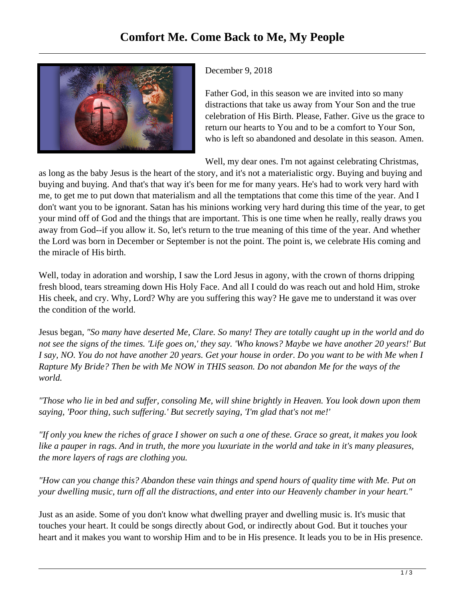

## December 9, 2018

Father God, in this season we are invited into so many distractions that take us away from Your Son and the true celebration of His Birth. Please, Father. Give us the grace to return our hearts to You and to be a comfort to Your Son, who is left so abandoned and desolate in this season. Amen.

Well, my dear ones. I'm not against celebrating Christmas,

as long as the baby Jesus is the heart of the story, and it's not a materialistic orgy. Buying and buying and buying and buying. And that's that way it's been for me for many years. He's had to work very hard with me, to get me to put down that materialism and all the temptations that come this time of the year. And I don't want you to be ignorant. Satan has his minions working very hard during this time of the year, to get your mind off of God and the things that are important. This is one time when he really, really draws you away from God--if you allow it. So, let's return to the true meaning of this time of the year. And whether the Lord was born in December or September is not the point. The point is, we celebrate His coming and the miracle of His birth.

Well, today in adoration and worship, I saw the Lord Jesus in agony, with the crown of thorns dripping fresh blood, tears streaming down His Holy Face. And all I could do was reach out and hold Him, stroke His cheek, and cry. Why, Lord? Why are you suffering this way? He gave me to understand it was over the condition of the world.

Jesus began, *"So many have deserted Me, Clare. So many! They are totally caught up in the world and do not see the signs of the times. 'Life goes on,' they say. 'Who knows? Maybe we have another 20 years!' But I say, NO. You do not have another 20 years. Get your house in order. Do you want to be with Me when I Rapture My Bride? Then be with Me NOW in THIS season. Do not abandon Me for the ways of the world.* 

*"Those who lie in bed and suffer, consoling Me, will shine brightly in Heaven. You look down upon them saying, 'Poor thing, such suffering.' But secretly saying, 'I'm glad that's not me!'*

*"If only you knew the riches of grace I shower on such a one of these. Grace so great, it makes you look like a pauper in rags. And in truth, the more you luxuriate in the world and take in it's many pleasures, the more layers of rags are clothing you.* 

*"How can you change this? Abandon these vain things and spend hours of quality time with Me. Put on your dwelling music, turn off all the distractions, and enter into our Heavenly chamber in your heart."*

Just as an aside. Some of you don't know what dwelling prayer and dwelling music is. It's music that touches your heart. It could be songs directly about God, or indirectly about God. But it touches your heart and it makes you want to worship Him and to be in His presence. It leads you to be in His presence.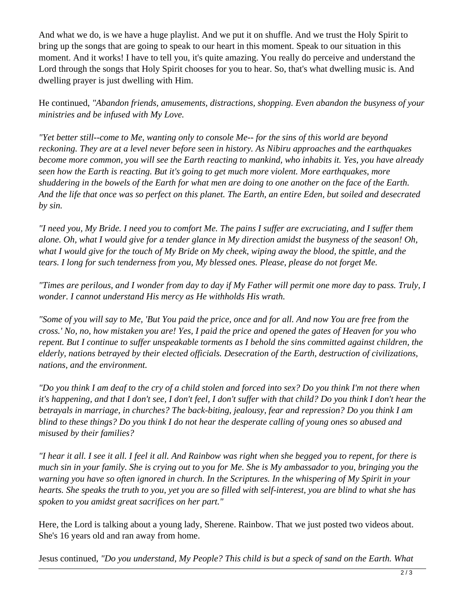And what we do, is we have a huge playlist. And we put it on shuffle. And we trust the Holy Spirit to bring up the songs that are going to speak to our heart in this moment. Speak to our situation in this moment. And it works! I have to tell you, it's quite amazing. You really do perceive and understand the Lord through the songs that Holy Spirit chooses for you to hear. So, that's what dwelling music is. And dwelling prayer is just dwelling with Him.

He continued, *"Abandon friends, amusements, distractions, shopping. Even abandon the busyness of your ministries and be infused with My Love.* 

*"Yet better still--come to Me, wanting only to console Me-- for the sins of this world are beyond reckoning. They are at a level never before seen in history. As Nibiru approaches and the earthquakes become more common, you will see the Earth reacting to mankind, who inhabits it. Yes, you have already seen how the Earth is reacting. But it's going to get much more violent. More earthquakes, more shuddering in the bowels of the Earth for what men are doing to one another on the face of the Earth. And the life that once was so perfect on this planet. The Earth, an entire Eden, but soiled and desecrated by sin.*

*"I need you, My Bride. I need you to comfort Me. The pains I suffer are excruciating, and I suffer them alone. Oh, what I would give for a tender glance in My direction amidst the busyness of the season! Oh, what I would give for the touch of My Bride on My cheek, wiping away the blood, the spittle, and the tears. I long for such tenderness from you, My blessed ones. Please, please do not forget Me.* 

*"Times are perilous, and I wonder from day to day if My Father will permit one more day to pass. Truly, I wonder. I cannot understand His mercy as He withholds His wrath.*

*"Some of you will say to Me, 'But You paid the price, once and for all. And now You are free from the cross.' No, no, how mistaken you are! Yes, I paid the price and opened the gates of Heaven for you who repent. But I continue to suffer unspeakable torments as I behold the sins committed against children, the elderly, nations betrayed by their elected officials. Desecration of the Earth, destruction of civilizations, nations, and the environment.*

*"Do you think I am deaf to the cry of a child stolen and forced into sex? Do you think I'm not there when it's happening, and that I don't see, I don't feel, I don't suffer with that child? Do you think I don't hear the betrayals in marriage, in churches? The back-biting, jealousy, fear and repression? Do you think I am blind to these things? Do you think I do not hear the desperate calling of young ones so abused and misused by their families?* 

*"I hear it all. I see it all. I feel it all. And Rainbow was right when she begged you to repent, for there is much sin in your family. She is crying out to you for Me. She is My ambassador to you, bringing you the warning you have so often ignored in church. In the Scriptures. In the whispering of My Spirit in your hearts. She speaks the truth to you, yet you are so filled with self-interest, you are blind to what she has spoken to you amidst great sacrifices on her part."*

Here, the Lord is talking about a young lady, Sherene. Rainbow. That we just posted two videos about. She's 16 years old and ran away from home.

Jesus continued, *"Do you understand, My People? This child is but a speck of sand on the Earth. What*